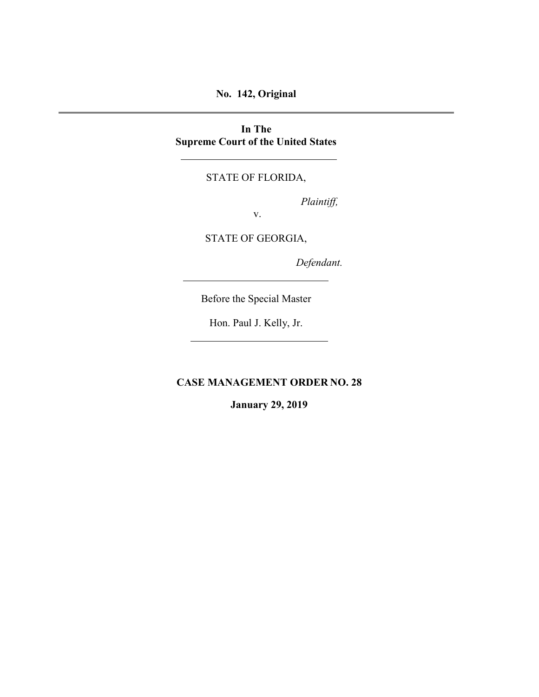## **No. 142, Original**

### **In The Supreme Court of the United States**

### STATE OF FLORIDA,

*Plaintiff,*

v.

STATE OF GEORGIA,

*Defendant.*

Before the Special Master

Hon. Paul J. Kelly, Jr.

**CASE MANAGEMENT ORDER NO. 28**

**January 29, 2019**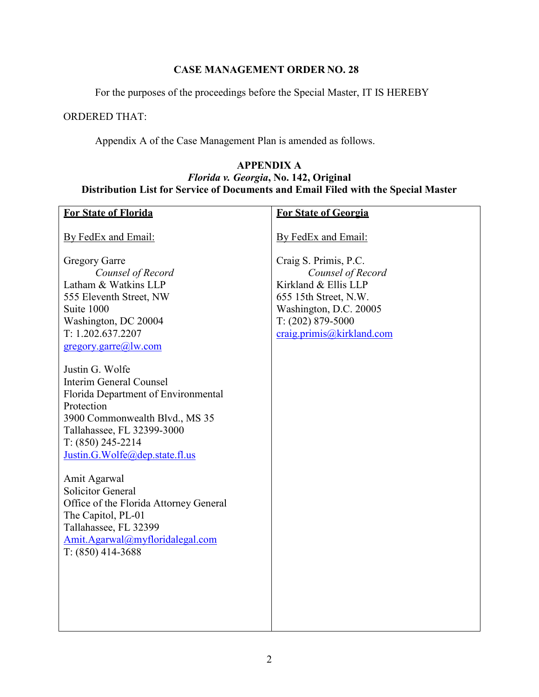# **CASE MANAGEMENT ORDER NO. 28**

For the purposes of the proceedings before the Special Master, IT IS HEREBY

### ORDERED THAT:

Appendix A of the Case Management Plan is amended as follows.

## **APPENDIX A** *Florida v. Georgia***, No. 142, Original Distribution List for Service of Documents and Email Filed with the Special Master**

| <b>For State of Florida</b>                                    | <b>For State of Georgia</b>                     |
|----------------------------------------------------------------|-------------------------------------------------|
| By FedEx and Email:                                            | By FedEx and Email:                             |
|                                                                |                                                 |
| <b>Gregory Garre</b>                                           | Craig S. Primis, P.C.                           |
| Counsel of Record                                              | Counsel of Record                               |
| Latham & Watkins LLP                                           | Kirkland & Ellis LLP                            |
| 555 Eleventh Street, NW<br>Suite 1000                          | 655 15th Street, N.W.<br>Washington, D.C. 20005 |
| Washington, DC 20004                                           | $T: (202) 879 - 5000$                           |
| T: 1.202.637.2207                                              | craig.primis@kirkland.com                       |
| gregory.garre@]w.com                                           |                                                 |
|                                                                |                                                 |
| Justin G. Wolfe                                                |                                                 |
| Interim General Counsel<br>Florida Department of Environmental |                                                 |
| Protection                                                     |                                                 |
| 3900 Commonwealth Blvd., MS 35                                 |                                                 |
| Tallahassee, FL 32399-3000                                     |                                                 |
| $T: (850)$ 245-2214                                            |                                                 |
| Justin.G.Wolfe@dep.state.fl.us                                 |                                                 |
| Amit Agarwal                                                   |                                                 |
| <b>Solicitor General</b>                                       |                                                 |
| Office of the Florida Attorney General                         |                                                 |
| The Capitol, PL-01                                             |                                                 |
| Tallahassee, FL 32399                                          |                                                 |
| Amit.Agarwal@myfloridalegal.com                                |                                                 |
| $T: (850)$ 414-3688                                            |                                                 |
|                                                                |                                                 |
|                                                                |                                                 |
|                                                                |                                                 |
|                                                                |                                                 |
|                                                                |                                                 |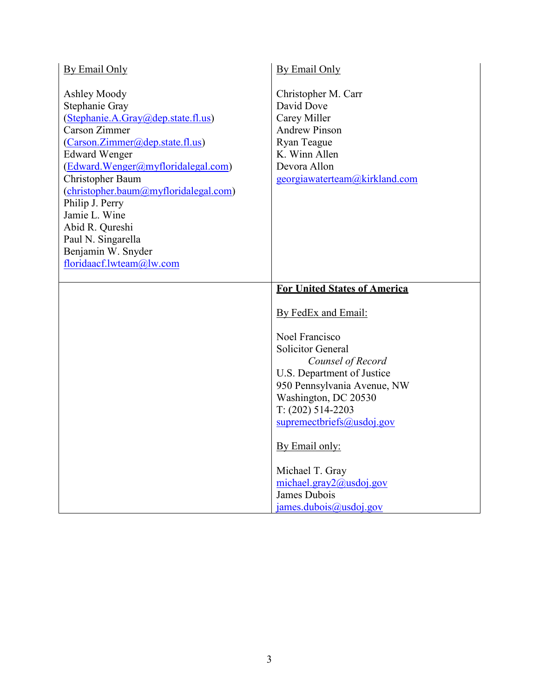| By Email Only                                                                                                                                                                                                                                                                                                                                                                             | By Email Only                                                                                                                                                                                                     |
|-------------------------------------------------------------------------------------------------------------------------------------------------------------------------------------------------------------------------------------------------------------------------------------------------------------------------------------------------------------------------------------------|-------------------------------------------------------------------------------------------------------------------------------------------------------------------------------------------------------------------|
| Ashley Moody<br>Stephanie Gray<br>(Stephanie.A.Gray@dep.state.fl.us)<br><b>Carson Zimmer</b><br>(Carson.Zimmer@dep.state.fl.us)<br><b>Edward Wenger</b><br>(Edward.Wenger@myfloridalegal.com)<br>Christopher Baum<br>(christopher.baum@myfloridalegal.com)<br>Philip J. Perry<br>Jamie L. Wine<br>Abid R. Qureshi<br>Paul N. Singarella<br>Benjamin W. Snyder<br>floridaacf.lwteam@lw.com | Christopher M. Carr<br>David Dove<br>Carey Miller<br><b>Andrew Pinson</b><br>Ryan Teague<br>K. Winn Allen<br>Devora Allon<br>georgiawaterteam@kirkland.com                                                        |
|                                                                                                                                                                                                                                                                                                                                                                                           | <b>For United States of America</b>                                                                                                                                                                               |
|                                                                                                                                                                                                                                                                                                                                                                                           | By FedEx and Email:                                                                                                                                                                                               |
|                                                                                                                                                                                                                                                                                                                                                                                           | Noel Francisco<br><b>Solicitor General</b><br>Counsel of Record<br>U.S. Department of Justice<br>950 Pennsylvania Avenue, NW<br>Washington, DC 20530<br>$T: (202) 514-2203$<br>$supremechriefs(\omega)$ usdoj.gov |
|                                                                                                                                                                                                                                                                                                                                                                                           | By Email only:                                                                                                                                                                                                    |
|                                                                                                                                                                                                                                                                                                                                                                                           | Michael T. Gray<br>michael.gray2@usdoj.gov<br>James Dubois<br>$j$ ames.dubois@usdoj.gov                                                                                                                           |